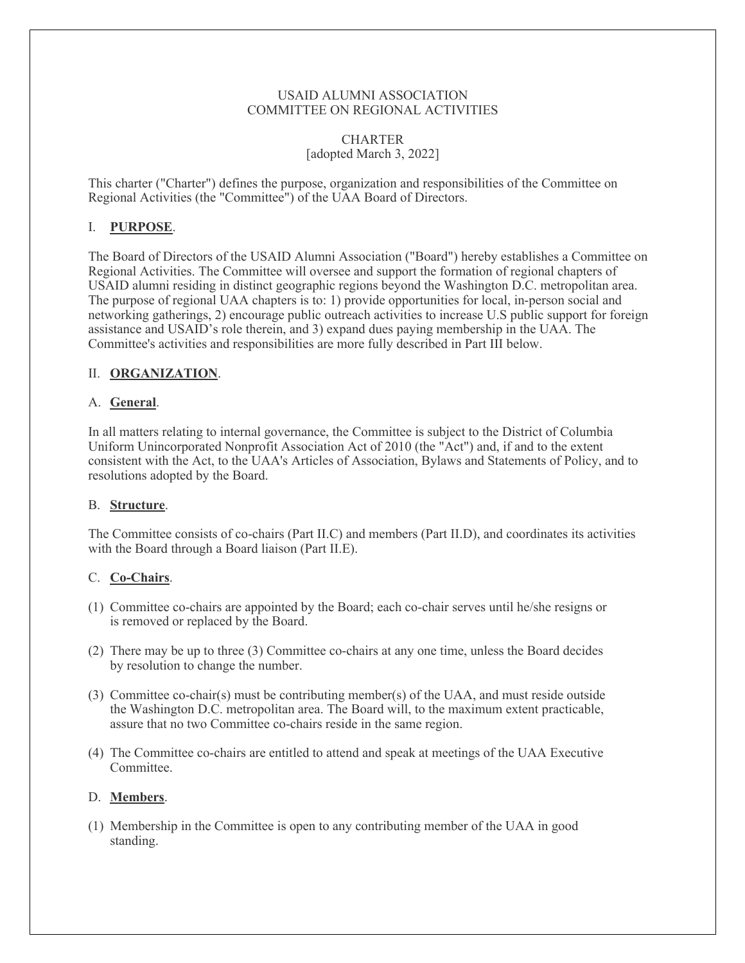### USAID ALUMNI ASSOCIATION COMMITTEE ON REGIONAL ACTIVITIES

#### **CHARTER** [adopted March 3, 2022]

This charter ("Charter") defines the purpose, organization and responsibilities of the Committee on Regional Activities (the "Committee") of the UAA Board of Directors.

## I. **PURPOSE**.

The Board of Directors of the USAID Alumni Association ("Board") hereby establishes a Committee on Regional Activities. The Committee will oversee and support the formation of regional chapters of USAID alumni residing in distinct geographic regions beyond the Washington D.C. metropolitan area. The purpose of regional UAA chapters is to: 1) provide opportunities for local, in-person social and networking gatherings, 2) encourage public outreach activities to increase U.S public support for foreign assistance and USAID's role therein, and 3) expand dues paying membership in the UAA. The Committee's activities and responsibilities are more fully described in Part III below.

## II. **ORGANIZATION**.

### A. **General**.

In all matters relating to internal governance, the Committee is subject to the District of Columbia Uniform Unincorporated Nonprofit Association Act of 2010 (the "Act") and, if and to the extent consistent with the Act, to the UAA's Articles of Association, Bylaws and Statements of Policy, and to resolutions adopted by the Board.

## B. **Structure**.

The Committee consists of co-chairs (Part II.C) and members (Part II.D), and coordinates its activities with the Board through a Board liaison (Part II.E).

## C. **Co-Chairs**.

- (1) Committee co-chairs are appointed by the Board; each co-chair serves until he/she resigns or is removed or replaced by the Board.
- (2) There may be up to three (3) Committee co-chairs at any one time, unless the Board decides by resolution to change the number.
- (3) Committee co-chair(s) must be contributing member(s) of the UAA, and must reside outside the Washington D.C. metropolitan area. The Board will, to the maximum extent practicable, assure that no two Committee co-chairs reside in the same region.
- (4) The Committee co-chairs are entitled to attend and speak at meetings of the UAA Executive Committee.

#### D. **Members**.

(1) Membership in the Committee is open to any contributing member of the UAA in good standing.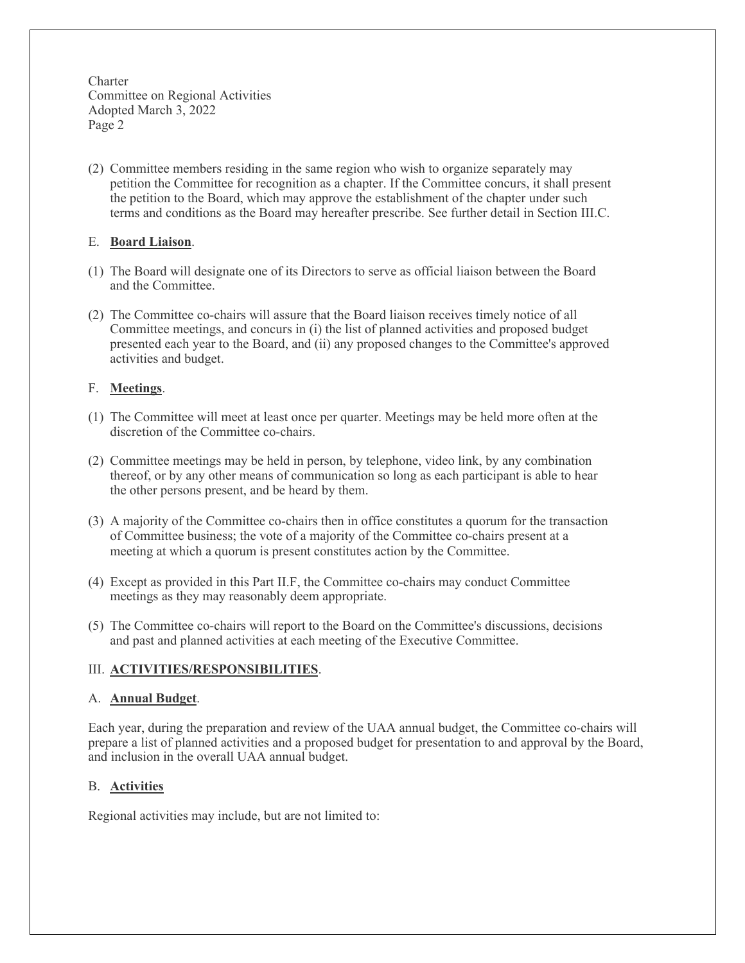Charter Committee on Regional Activities Adopted March 3, 2022 Page 2

(2) Committee members residing in the same region who wish to organize separately may petition the Committee for recognition as a chapter. If the Committee concurs, it shall present the petition to the Board, which may approve the establishment of the chapter under such terms and conditions as the Board may hereafter prescribe. See further detail in Section III.C.

## E. **Board Liaison**.

- (1) The Board will designate one of its Directors to serve as official liaison between the Board and the Committee.
- (2) The Committee co-chairs will assure that the Board liaison receives timely notice of all Committee meetings, and concurs in (i) the list of planned activities and proposed budget presented each year to the Board, and (ii) any proposed changes to the Committee's approved activities and budget.

# F. **Meetings**.

- (1) The Committee will meet at least once per quarter. Meetings may be held more often at the discretion of the Committee co-chairs.
- (2) Committee meetings may be held in person, by telephone, video link, by any combination thereof, or by any other means of communication so long as each participant is able to hear the other persons present, and be heard by them.
- (3) A majority of the Committee co-chairs then in office constitutes a quorum for the transaction of Committee business; the vote of a majority of the Committee co-chairs present at a meeting at which a quorum is present constitutes action by the Committee.
- (4) Except as provided in this Part II.F, the Committee co-chairs may conduct Committee meetings as they may reasonably deem appropriate.
- (5) The Committee co-chairs will report to the Board on the Committee's discussions, decisions and past and planned activities at each meeting of the Executive Committee.

# III. **ACTIVITIES/RESPONSIBILITIES**.

## A. **Annual Budget**.

Each year, during the preparation and review of the UAA annual budget, the Committee co-chairs will prepare a list of planned activities and a proposed budget for presentation to and approval by the Board, and inclusion in the overall UAA annual budget.

## B. **Activities**

Regional activities may include, but are not limited to: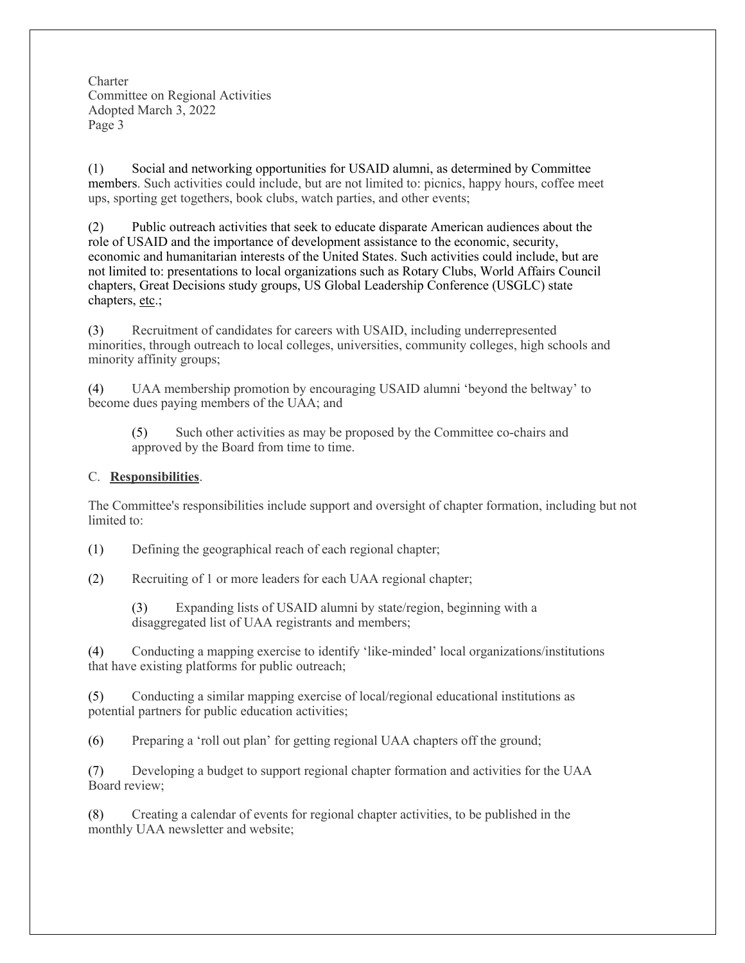**Charter** Committee on Regional Activities Adopted March 3, 2022 Page 3

(1) Social and networking opportunities for USAID alumni, as determined by Committee members. Such activities could include, but are not limited to: picnics, happy hours, coffee meet ups, sporting get togethers, book clubs, watch parties, and other events;

(2) Public outreach activities that seek to educate disparate American audiences about the role of USAID and the importance of development assistance to the economic, security, economic and humanitarian interests of the United States. Such activities could include, but are not limited to: presentations to local organizations such as Rotary Clubs, World Affairs Council chapters, Great Decisions study groups, US Global Leadership Conference (USGLC) state chapters, etc.;

(3) Recruitment of candidates for careers with USAID, including underrepresented minorities, through outreach to local colleges, universities, community colleges, high schools and minority affinity groups;

(4) UAA membership promotion by encouraging USAID alumni 'beyond the beltway' to become dues paying members of the UAA; and

(5) Such other activities as may be proposed by the Committee co-chairs and approved by the Board from time to time.

## C. **Responsibilities**.

The Committee's responsibilities include support and oversight of chapter formation, including but not limited to:

(1) Defining the geographical reach of each regional chapter;

(2) Recruiting of 1 or more leaders for each UAA regional chapter;

(3) Expanding lists of USAID alumni by state/region, beginning with a disaggregated list of UAA registrants and members;

(4) Conducting a mapping exercise to identify 'like-minded' local organizations/institutions that have existing platforms for public outreach;

(5) Conducting a similar mapping exercise of local/regional educational institutions as potential partners for public education activities;

(6) Preparing a 'roll out plan' for getting regional UAA chapters off the ground;

(7) Developing a budget to support regional chapter formation and activities for the UAA Board review;

(8) Creating a calendar of events for regional chapter activities, to be published in the monthly UAA newsletter and website;